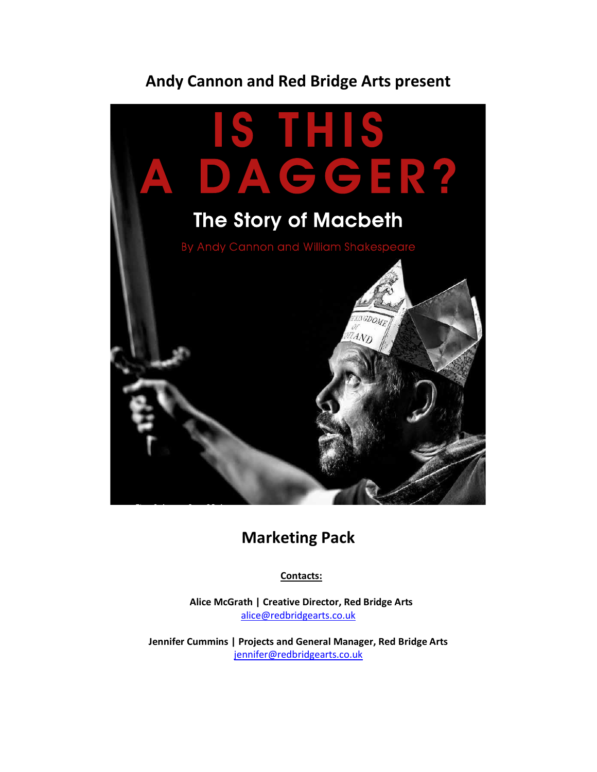

# **Marketing Pack**

**Contacts:**

**Alice McGrath | Creative Director, Red Bridge Arts** [alice@redbridgearts.co.uk](mailto:aliceamcgrath@gmail.com)

**Jennifer Cummins | Projects and General Manager, Red Bridge Arts** [jennifer@redbridgearts.co.uk](mailto:jennifer@redbridgearts.co.uk)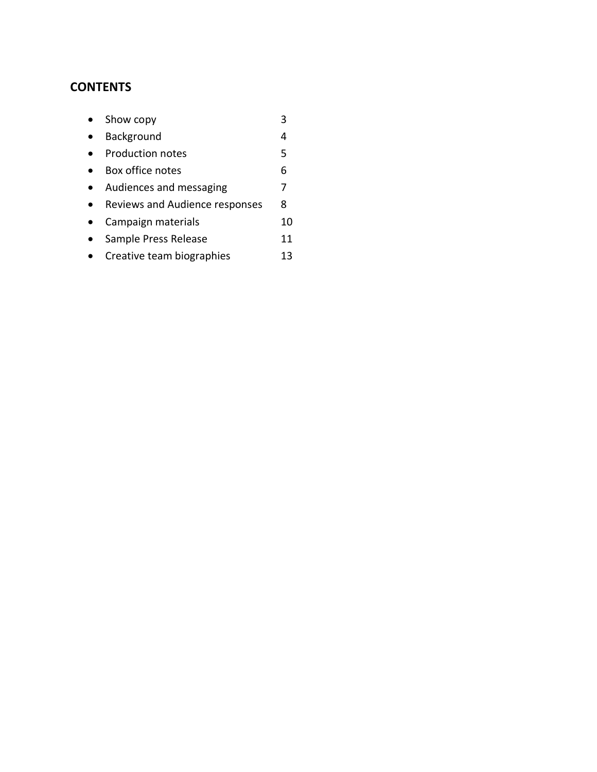## **CONTENTS**

| Show copy                      |    |
|--------------------------------|----|
| Background                     | 4  |
| Production notes               | 5  |
| Box office notes               | 6  |
| Audiences and messaging        | 7  |
| Reviews and Audience responses | 8  |
| Campaign materials             | 10 |
| Sample Press Release           | 11 |
| Creative team biographies      | 13 |
|                                |    |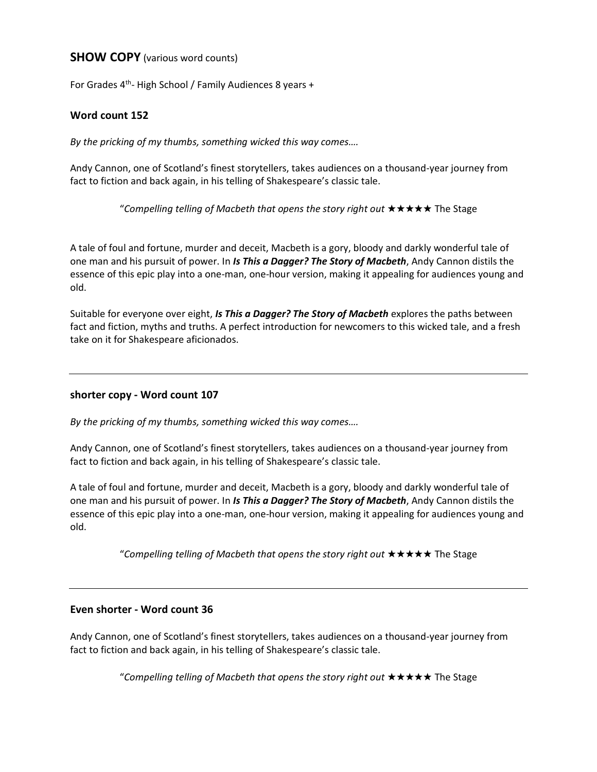### **SHOW COPY** (various word counts)

For Grades 4<sup>th</sup>- High School / Family Audiences 8 years +

#### **Word count 152**

*By the pricking of my thumbs, something wicked this way comes….*

Andy Cannon, one of Scotland's finest storytellers, takes audiences on a thousand-year journey from fact to fiction and back again, in his telling of Shakespeare's classic tale.

"Compelling telling of Macbeth that opens the story right out **\*\*\*\*\*** The Stage

A tale of foul and fortune, murder and deceit, Macbeth is a gory, bloody and darkly wonderful tale of one man and his pursuit of power. In *Is This a Dagger? The Story of Macbeth*, Andy Cannon distils the essence of this epic play into a one-man, one-hour version, making it appealing for audiences young and old.

Suitable for everyone over eight, *Is This a Dagger? The Story of Macbeth* explores the paths between fact and fiction, myths and truths. A perfect introduction for newcomers to this wicked tale, and a fresh take on it for Shakespeare aficionados.

#### **shorter copy - Word count 107**

*By the pricking of my thumbs, something wicked this way comes….*

Andy Cannon, one of Scotland's finest storytellers, takes audiences on a thousand-year journey from fact to fiction and back again, in his telling of Shakespeare's classic tale.

A tale of foul and fortune, murder and deceit, Macbeth is a gory, bloody and darkly wonderful tale of one man and his pursuit of power. In *Is This a Dagger? The Story of Macbeth*, Andy Cannon distils the essence of this epic play into a one-man, one-hour version, making it appealing for audiences young and old.

"Compelling telling of Macbeth that opens the story right out **\* \* \* \* \*** The Stage

#### **Even shorter - Word count 36**

Andy Cannon, one of Scotland's finest storytellers, takes audiences on a thousand-year journey from fact to fiction and back again, in his telling of Shakespeare's classic tale.

"Compelling telling of Macbeth that opens the story right out **\*\*\*\*\*** The Stage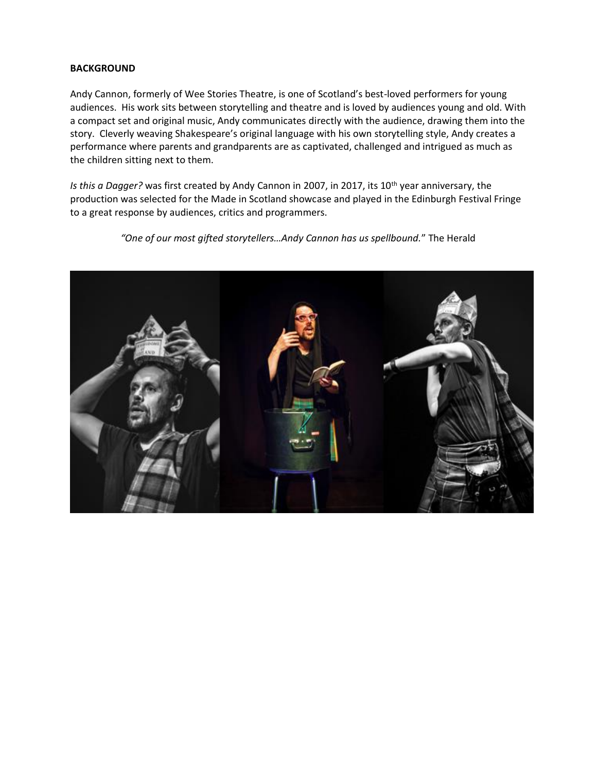#### **BACKGROUND**

Andy Cannon, formerly of Wee Stories Theatre, is one of Scotland's best-loved performers for young audiences. His work sits between storytelling and theatre and is loved by audiences young and old. With a compact set and original music, Andy communicates directly with the audience, drawing them into the story. Cleverly weaving Shakespeare's original language with his own storytelling style, Andy creates a performance where parents and grandparents are as captivated, challenged and intrigued as much as the children sitting next to them.

*Is this a Dagger?* was first created by Andy Cannon in 2007, in 2017, its 10<sup>th</sup> year anniversary, the production was selected for the Made in Scotland showcase and played in the Edinburgh Festival Fringe to a great response by audiences, critics and programmers.

*"One of our most gifted storytellers…Andy Cannon has us spellbound.*" The Herald

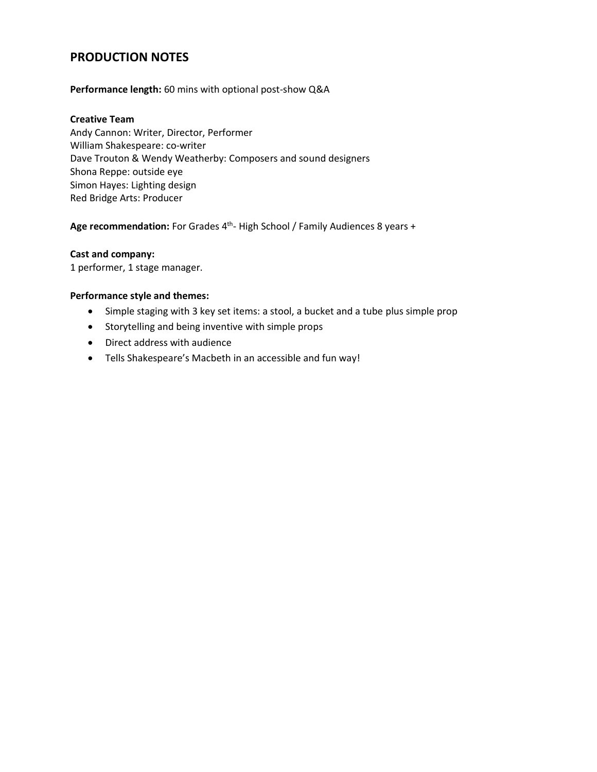## **PRODUCTION NOTES**

#### **Performance length:** 60 mins with optional post-show Q&A

#### **Creative Team**

Andy Cannon: Writer, Director, Performer William Shakespeare: co-writer Dave Trouton & Wendy Weatherby: Composers and sound designers Shona Reppe: outside eye Simon Hayes: Lighting design Red Bridge Arts: Producer

Age recommendation: For Grades 4<sup>th</sup>- High School / Family Audiences 8 years +

#### **Cast and company:**

1 performer, 1 stage manager.

#### **Performance style and themes:**

- Simple staging with 3 key set items: a stool, a bucket and a tube plus simple prop
- Storytelling and being inventive with simple props
- Direct address with audience
- Tells Shakespeare's Macbeth in an accessible and fun way!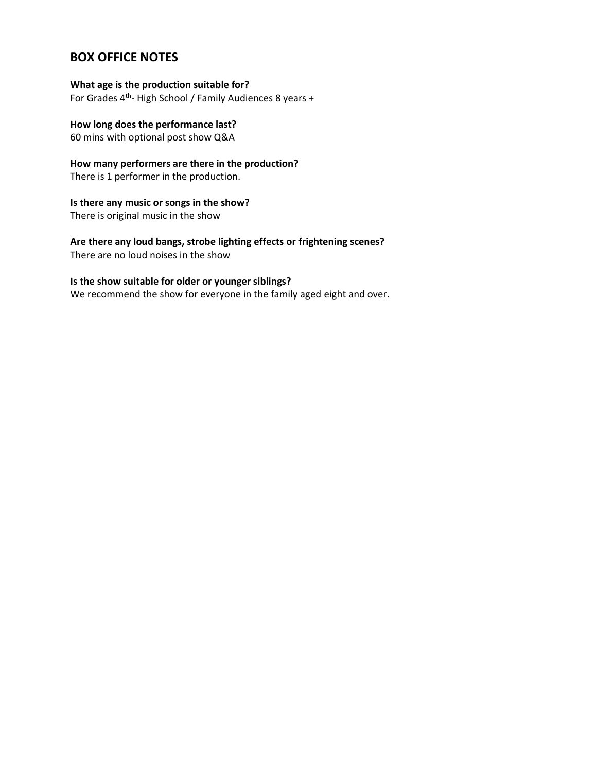## **BOX OFFICE NOTES**

#### **What age is the production suitable for?**

For Grades 4<sup>th</sup>- High School / Family Audiences 8 years +

#### **How long does the performance last?**

60 mins with optional post show Q&A

## **How many performers are there in the production?**

There is 1 performer in the production.

#### **Is there any music or songs in the show?** There is original music in the show

**Are there any loud bangs, strobe lighting effects or frightening scenes?** There are no loud noises in the show

#### **Is the show suitable for older or younger siblings?**

We recommend the show for everyone in the family aged eight and over.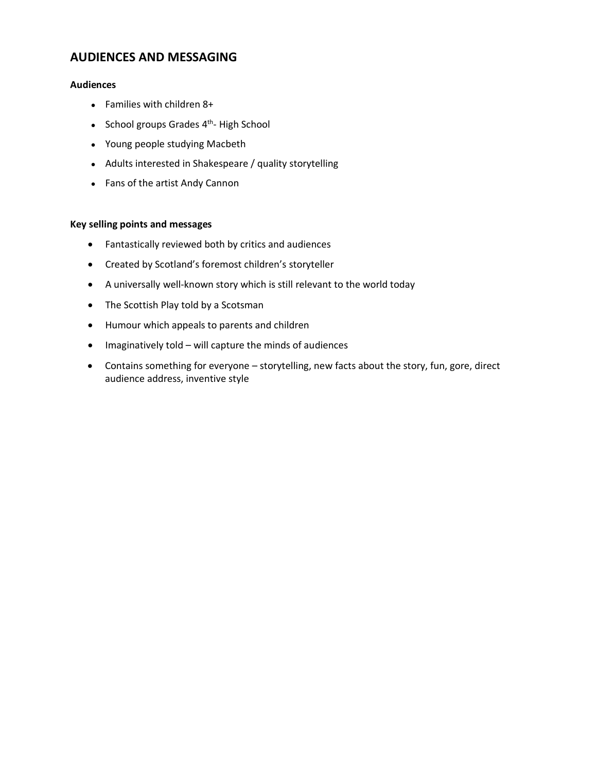## **AUDIENCES AND MESSAGING**

#### **Audiences**

- Families with children 8+
- School groups Grades 4<sup>th</sup>- High School
- Young people studying Macbeth
- Adults interested in Shakespeare / quality storytelling
- Fans of the artist Andy Cannon

#### **Key selling points and messages**

- Fantastically reviewed both by critics and audiences
- Created by Scotland's foremost children's storyteller
- A universally well-known story which is still relevant to the world today
- The Scottish Play told by a Scotsman
- Humour which appeals to parents and children
- Imaginatively told will capture the minds of audiences
- Contains something for everyone storytelling, new facts about the story, fun, gore, direct audience address, inventive style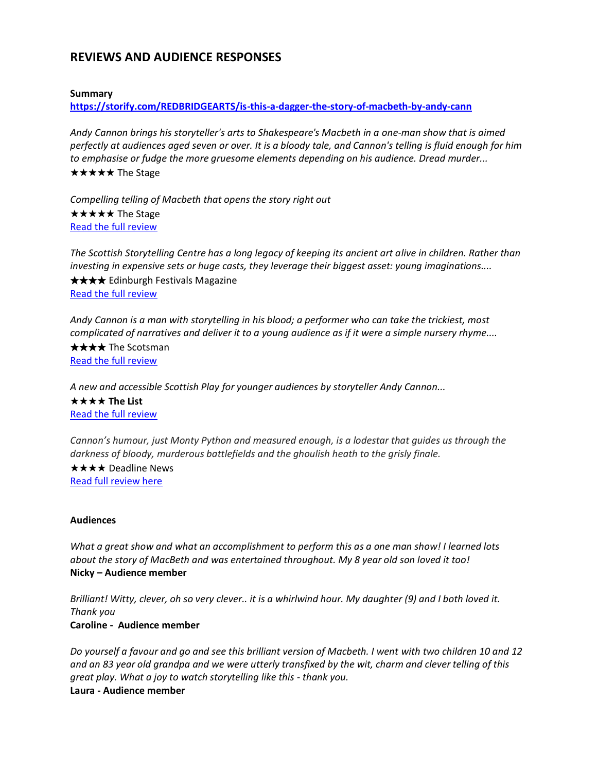## **REVIEWS AND AUDIENCE RESPONSES**

#### **Summary**

**<https://storify.com/REDBRIDGEARTS/is-this-a-dagger-the-story-of-macbeth-by-andy-cann>**

*Andy Cannon brings his storyteller's arts to Shakespeare's Macbeth in a one-man show that is aimed perfectly at audiences aged seven or over. It is a bloody tale, and Cannon's telling is fluid enough for him to emphasise or fudge the more gruesome elements depending on his audience. Dread murder...* ★★★★★ The Stage

*Compelling telling of Macbeth that opens the story right out*  ★★★★★ The Stage [Read the full review](https://www.thestage.co.uk/reviews/2017/is-this-a-dagger-the-story-of-macbeth-review-at-scottish-storytelling-centre-inventive-and-clever/)

*The Scottish Storytelling Centre has a long legacy of keeping its ancient art alive in children. Rather than investing in expensive sets or huge casts, they leverage their biggest asset: young imaginations....* ★★★★ Edinburgh Festivals Magazine [Read the full review](http://www.edfestmag.com/is-this-a-dagger-the-story-of-macbeth-2/)

*Andy Cannon is a man with storytelling in his blood; a performer who can take the trickiest, most complicated of narratives and deliver it to a young audience as if it were a simple nursery rhyme....* ★★★★ The Scotsman [Read the full review](http://www.scotsman.com/lifestyle/children-s-show-review-is-this-a-dagger-the-story-of-macbeth-1-4525461)

*A new and accessible Scottish Play for younger audiences by storyteller Andy Cannon...* ★★★★ **The List** [Read the full review](http://edinburghfestival.list.co.uk/article/93871-is-this-a-dagger-the-story-of-macbeth/)

*Cannon's humour, just Monty Python and measured enough, is a lodestar that guides us through the darkness of bloody, murderous battlefields and the ghoulish heath to the grisly finale.*

★★★★ Deadline News [Read full review here](http://www.deadlinenews.co.uk/2017/08/09/review-cannon-fires-off-version-scottish-play-thats-part-soap-part-surreal-scary/)

#### **Audiences**

*What a great show and what an accomplishment to perform this as a one man show! I learned lots about the story of MacBeth and was entertained throughout. My 8 year old son loved it too!* **Nicky – Audience member**

*Brilliant! Witty, clever, oh so very clever.. it is a whirlwind hour. My daughter (9) and I both loved it. Thank you* **[Caroline -](https://tickets.edfringe.com/reviews/report/19091) Audience member**

*Do yourself a favour and go and see this brilliant version of Macbeth. I went with two children 10 and 12 and an 83 year old grandpa and we were utterly transfixed by the wit, charm and clever telling of this great play. What a joy to watch storytelling like this - thank you.* **Laura - [Audience member](https://tickets.edfringe.com/reviews/report/2264)**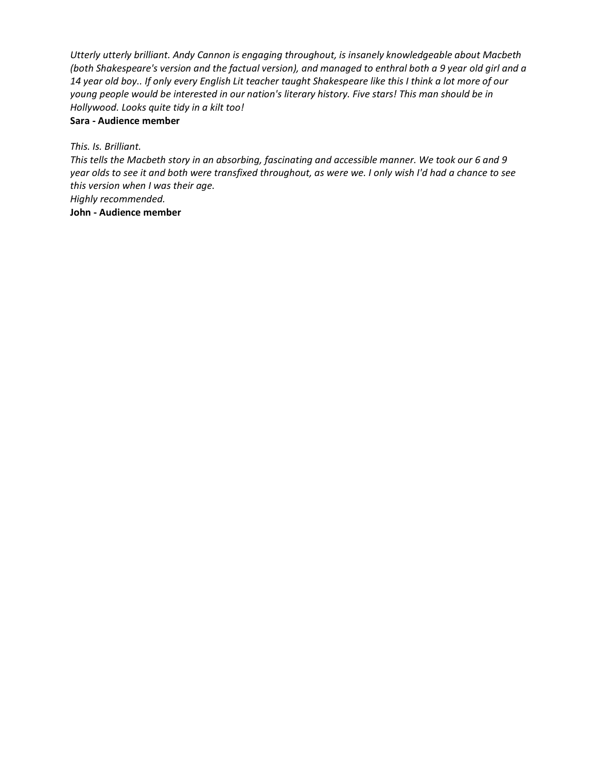*Utterly utterly brilliant. Andy Cannon is engaging throughout, is insanely knowledgeable about Macbeth (both Shakespeare's version and the factual version), and managed to enthral both a 9 year old girl and a 14 year old boy.. If only every English Lit teacher taught Shakespeare like this I think a lot more of our young people would be interested in our nation's literary history. Five stars! This man should be in Hollywood. Looks quite tidy in a kilt too!*

#### **Sara - [Audience member](https://tickets.edfringe.com/reviews/report/2064)**

*This. Is. Brilliant.*

*This tells the Macbeth story in an absorbing, fascinating and accessible manner. We took our 6 and 9 year olds to see it and both were transfixed throughout, as were we. I only wish I'd had a chance to see this version when I was their age. Highly recommended.*

**John - Audience member**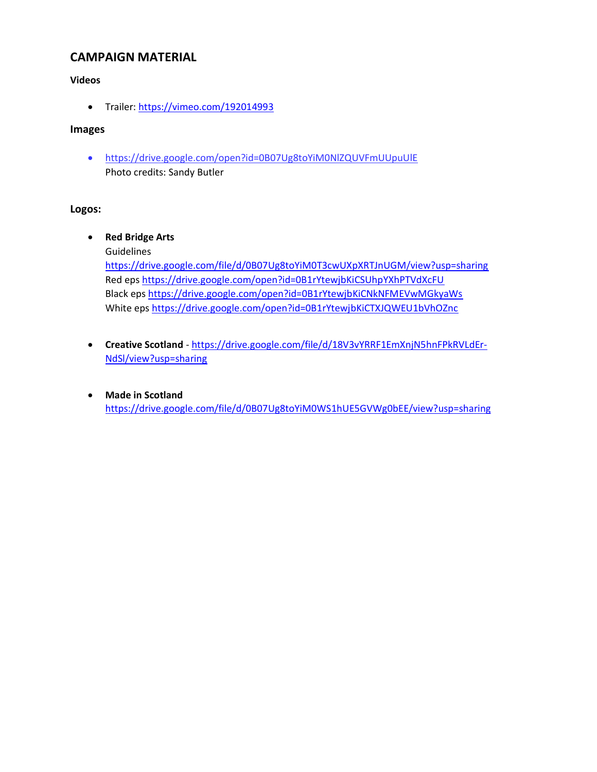## **CAMPAIGN MATERIAL**

#### **Videos**

• Trailer:<https://vimeo.com/192014993>

#### **Images**

• <https://drive.google.com/open?id=0B07Ug8toYiM0NlZQUVFmUUpuUlE> Photo credits: Sandy Butler

#### **Logos:**

• **Red Bridge Arts** 

Guidelines

<https://drive.google.com/file/d/0B07Ug8toYiM0T3cwUXpXRTJnUGM/view?usp=sharing> Red eps<https://drive.google.com/open?id=0B1rYtewjbKiCSUhpYXhPTVdXcFU> Black eps<https://drive.google.com/open?id=0B1rYtewjbKiCNkNFMEVwMGkyaWs> White eps<https://drive.google.com/open?id=0B1rYtewjbKiCTXJQWEU1bVhOZnc>

- **Creative Scotland** [https://drive.google.com/file/d/18V3vYRRF1EmXnjN5hnFPkRVLdEr-](https://drive.google.com/file/d/18V3vYRRF1EmXnjN5hnFPkRVLdEr-NdSl/view?usp=sharing)[NdSl/view?usp=sharing](https://drive.google.com/file/d/18V3vYRRF1EmXnjN5hnFPkRVLdEr-NdSl/view?usp=sharing)
- **Made in Scotland** <https://drive.google.com/file/d/0B07Ug8toYiM0WS1hUE5GVWg0bEE/view?usp=sharing>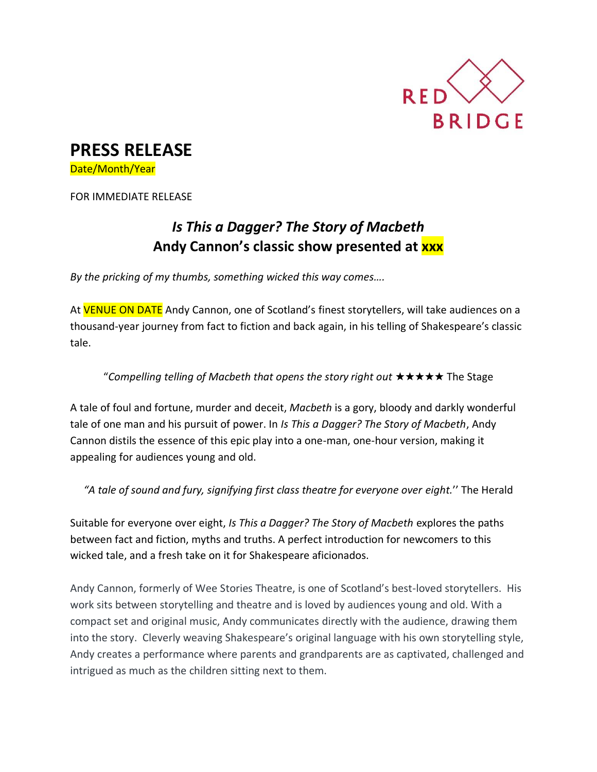

# **PRESS RELEASE**

Date/Month/Year

FOR IMMEDIATE RELEASE

## *Is This a Dagger? The Story of Macbeth* **Andy Cannon's classic show presented at xxx**

*By the pricking of my thumbs, something wicked this way comes….*

At **VENUE ON DATE** Andy Cannon, one of Scotland's finest storytellers, will take audiences on a thousand-year journey from fact to fiction and back again, in his telling of Shakespeare's classic tale.

## "*Compelling telling of Macbeth that opens the story right out* ★★★★★ The Stage

A tale of foul and fortune, murder and deceit, *Macbeth* is a gory, bloody and darkly wonderful tale of one man and his pursuit of power. In *Is This a Dagger? The Story of Macbeth*, Andy Cannon distils the essence of this epic play into a one-man, one-hour version, making it appealing for audiences young and old.

*"A tale of sound and fury, signifying first class theatre for everyone over eight.*'' The Herald

Suitable for everyone over eight, *Is This a Dagger? The Story of Macbeth* explores the paths between fact and fiction, myths and truths. A perfect introduction for newcomers to this wicked tale, and a fresh take on it for Shakespeare aficionados.

Andy Cannon, formerly of Wee Stories Theatre, is one of Scotland's best-loved storytellers. His work sits between storytelling and theatre and is loved by audiences young and old. With a compact set and original music, Andy communicates directly with the audience, drawing them into the story. Cleverly weaving Shakespeare's original language with his own storytelling style, Andy creates a performance where parents and grandparents are as captivated, challenged and intrigued as much as the children sitting next to them.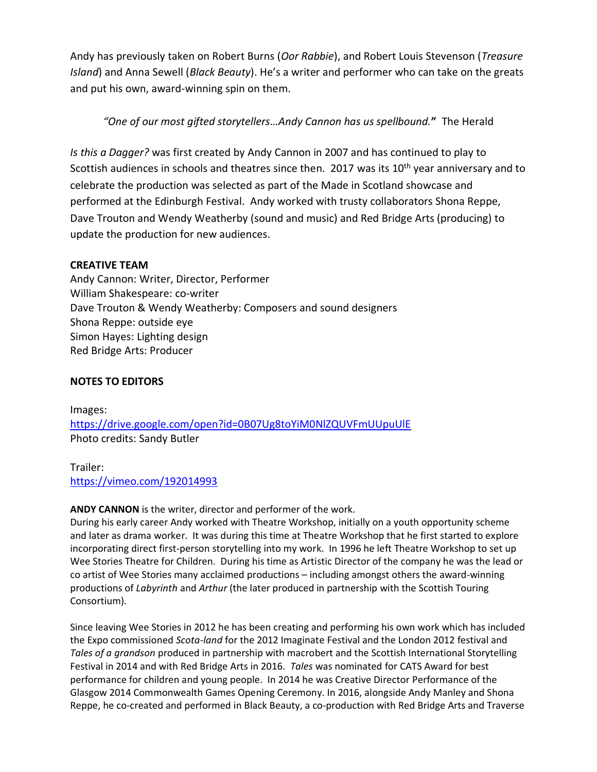Andy has previously taken on Robert Burns (*Oor Rabbie*), and Robert Louis Stevenson (*Treasure Island*) and Anna Sewell (*Black Beauty*). He's a writer and performer who can take on the greats and put his own, award-winning spin on them.

## *"One of our most gifted storytellers…Andy Cannon has us spellbound.***"** The Herald

*Is this a Dagger?* was first created by Andy Cannon in 2007 and has continued to play to Scottish audiences in schools and theatres since then. 2017 was its 10<sup>th</sup> year anniversary and to celebrate the production was selected as part of the Made in Scotland showcase and performed at the Edinburgh Festival. Andy worked with trusty collaborators Shona Reppe, Dave Trouton and Wendy Weatherby (sound and music) and Red Bridge Arts (producing) to update the production for new audiences.

#### **CREATIVE TEAM**

Andy Cannon: Writer, Director, Performer William Shakespeare: co-writer Dave Trouton & Wendy Weatherby: Composers and sound designers Shona Reppe: outside eye Simon Hayes: Lighting design Red Bridge Arts: Producer

### **NOTES TO EDITORS**

Images: <https://drive.google.com/open?id=0B07Ug8toYiM0NlZQUVFmUUpuUlE> Photo credits: Sandy Butler

Trailer: <https://vimeo.com/192014993>

#### **ANDY CANNON** is the writer, director and performer of the work.

During his early career Andy worked with Theatre Workshop, initially on a youth opportunity scheme and later as drama worker. It was during this time at Theatre Workshop that he first started to explore incorporating direct first-person storytelling into my work. In 1996 he left Theatre Workshop to set up Wee Stories Theatre for Children. During his time as Artistic Director of the company he was the lead or co artist of Wee Stories many acclaimed productions – including amongst others the award-winning productions of *Labyrinth* and *Arthur* (the later produced in partnership with the Scottish Touring Consortium).

Since leaving Wee Stories in 2012 he has been creating and performing his own work which has included the Expo commissioned *Scota-land* for the 2012 Imaginate Festival and the London 2012 festival and *Tales of a grandson* produced in partnership with macrobert and the Scottish International Storytelling Festival in 2014 and with Red Bridge Arts in 2016. *Tales* was nominated for CATS Award for best performance for children and young people. In 2014 he was Creative Director Performance of the Glasgow 2014 Commonwealth Games Opening Ceremony. In 2016, alongside Andy Manley and Shona Reppe, he co-created and performed in Black Beauty, a co-production with Red Bridge Arts and Traverse